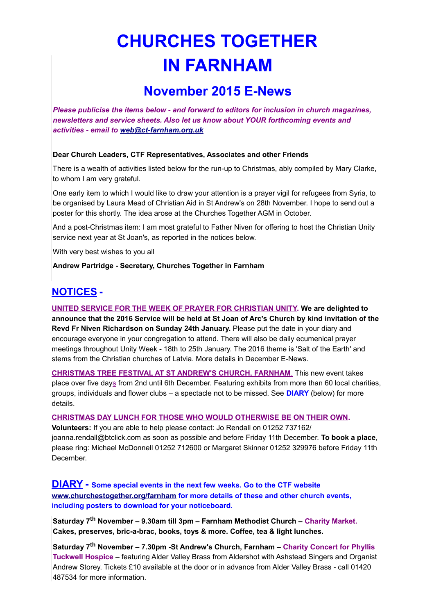# **CHURCHES TOGETHER IN FARNHAM**

## **November 2015 E-News**

*Please publicise the items below - and forward to editors for inclusion in church magazines, newsletters and service sheets. Also let us know about YOUR forthcoming events and activities - email to [web@ct-farnham.org.uk](mailto:web@ct-farnham.org.uk)*

#### **Dear Church Leaders, CTF Representatives, Associates and other Friends**

There is a wealth of activities listed below for the run-up to Christmas, ably compiled by Mary Clarke, to whom I am very grateful.

One early item to which I would like to draw your attention is a prayer vigil for refugees from Syria, to be organised by Laura Mead of Christian Aid in St Andrew's on 28th November. I hope to send out a poster for this shortly. The idea arose at the Churches Together AGM in October.

And a post-Christmas item: I am most grateful to Father Niven for offering to host the Christian Unity service next year at St Joan's, as reported in the notices below.

With very best wishes to you all

**Andrew Partridge - Secretary, Churches Together in Farnham**

### **NOTICES -**

**UNITED SERVICE FOR THE WEEK OF PRAYER FOR CHRISTIAN UNITY. We are delighted to announce that the 2016 Service will be held at St Joan of Arc's Church by kind invitation of the Revd Fr Niven Richardson on Sunday 24th January.** Please put the date in your diary and encourage everyone in your congregation to attend. There will also be daily ecumenical prayer meetings throughout Unity Week - 18th to 25th January. The 2016 theme is 'Salt of the Earth' and stems from the Christian churches of Latvia. More details in December E-News.

 **CHRISTMAS TREE FESTIVAL AT ST ANDREW'S CHURCH, FARNHAM**. This new event takes place over five days from 2nd until 6th December. Featuring exhibits from more than 60 local charities, groups, individuals and flower clubs – a spectacle not to be missed. See **DIARY** (below) for more details.

#### **CHRISTMAS DAY LUNCH FOR THOSE WHO WOULD OTHERWISE BE ON THEIR OWN.**

**Volunteers:** If you are able to help please contact: Jo Rendall on 01252 737162/ joanna.rendall@btclick.com as soon as possible and before Friday 11th December. **To book a place**, please ring: Michael McDonnell 01252 712600 or Margaret Skinner 01252 329976 before Friday 11th **December** 

**DIARY - Some special events in the next few weeks. Go to the CTF website [www.churchestogether.org/farnham](http://www.churchestogether.org/farnham) for more details of these and other church events, including posters to download for your noticeboard.**

**Saturday 7th November – 9.30am till 3pm – Farnham Methodist Church – Charity Market. Cakes, preserves, bric-a-brac, books, toys & more. Coffee, tea & light lunches.**

**Saturday 7th November – 7.30pm -St Andrew's Church, Farnham – Charity Concert for Phyllis Tuckwell Hospice** *–* featuring Alder Valley Brass from Aldershot with Ashstead Singers and Organist Andrew Storey. Tickets £10 available at the door or in advance from Alder Valley Brass - call 01420 487534 for more information.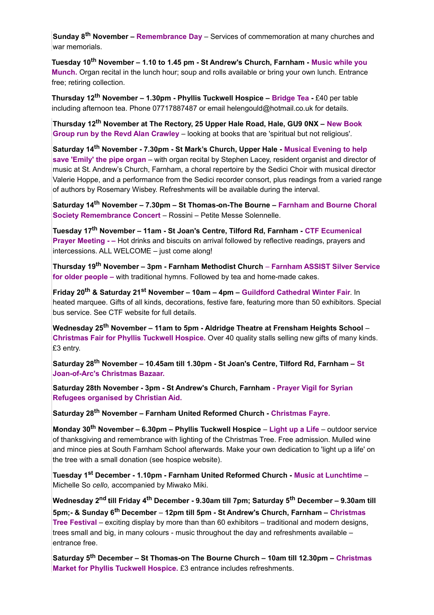**Sunday 8th November – Remembrance Day** *–* Services of commemoration at many churches and war memorials.

**Tuesday 10th November – 1.10 to 1.45 pm - St Andrew's Church, Farnham - Music while you Munch.** Organ recital in the lunch hour; soup and rolls available or bring your own lunch. Entrance free; retiring collection.

**Thursday 12th November – 1.30pm - Phyllis Tuckwell Hospice – Bridge Tea -** £40 per table including afternoon tea. Phone 07717887487 or email helengould@hotmail.co.uk for details.

**Thursday 12th November at The Rectory, 25 Upper Hale Road, Hale, GU9 0NX – New Book Group run by the Revd Alan Crawley** *–* looking at books that are 'spiritual but not religious'.

**Saturday 14th November - 7.30pm - St Mark's Church, Upper Hale - Musical Evening to help save 'Emily' the pipe organ** – with organ recital by Stephen Lacey, resident organist and director of music at St. Andrew's Church, Farnham, a choral repertoire by the Sedici Choir with musical director Valerie Hoppe, and a performance from the Sedici recorder consort, plus readings from a varied range of authors by Rosemary Wisbey. Refreshments will be available during the interval.

**Saturday 14th November – 7.30pm – St Thomas-on-The Bourne – Farnham and Bourne Choral Society Remembrance Concert** *–* Rossini – Petite Messe Solennelle.

**Tuesday 17th November – 11am - St Joan's Centre, Tilford Rd, Farnham - CTF Ecumenical Prayer Meeting - –** Hot drinks and biscuits on arrival followed by reflective readings, prayers and intercessions. ALL WELCOME – just come along!

**Thursday 19th November – 3pm - Farnham Methodist Church** *–* **Farnham ASSIST Silver Service for older people –** with traditional hymns. Followed by tea and home-made cakes.

**Friday 20th & Saturday 21st November – 10am – 4pm – Guildford Cathedral Winter Fair**. In heated marquee. Gifts of all kinds, decorations, festive fare, featuring more than 50 exhibitors. Special bus service. See CTF website for full details.

**Wednesday 25th November – 11am to 5pm - Aldridge Theatre at Frensham Heights School** *–*  **Christmas Fair for Phyllis Tuckwell Hospice.** Over 40 quality stalls selling new gifts of many kinds. £3 entry.

**Saturday 28th November – 10.45am till 1.30pm - St Joan's Centre, Tilford Rd, Farnham – St Joan-of-Arc's Christmas Bazaar.**

**Saturday 28th November - 3pm - St Andrew's Church, Farnham - Prayer Vigil for Syrian Refugees organised by Christian Aid.**

**Saturday 28th November – Farnham United Reformed Church - Christmas Fayre.**

**Monday 30th November – 6.30pm – Phyllis Tuckwell Hospice** *–* **Light up a Life** *–* outdoor service of thanksgiving and remembrance with lighting of the Christmas Tree. Free admission. Mulled wine and mince pies at South Farnham School afterwards. Make your own dedication to 'light up a life' on the tree with a small donation (see hospice website).

**Tuesday 1st December - 1.10pm - Farnham United Reformed Church - Music at Lunchtime** *–*  Michelle So *cello,* accompanied by Miwako Miki.

**Wednesday 2nd till Friday 4th December - 9.30am till 7pm; Saturday 5th December – 9.30am till 5pm;- & Sunday 6th December** *–* **12pm till 5pm - St Andrew's Church, Farnham – Christmas Tree Festival** *–* exciting display by more than than 60 exhibitors – traditional and modern designs, trees small and big, in many colours - music throughout the day and refreshments available – entrance free.

**Saturday 5th December – St Thomas-on The Bourne Church – 10am till 12.30pm – Christmas Market for Phyllis Tuckwell Hospice.** £3 entrance includes refreshments.